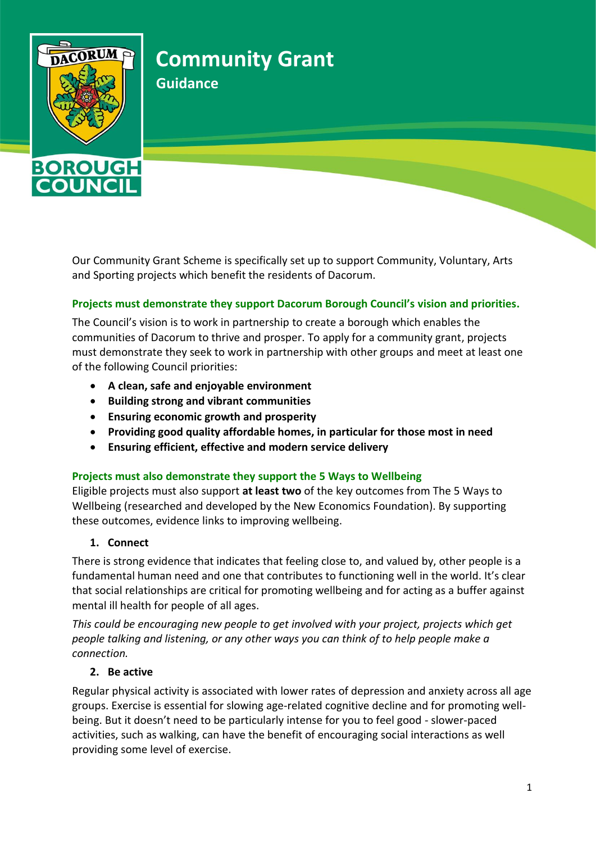

**DUN** 

# **Community Grant**

**Guidance**

Our Community Grant Scheme is specifically set up to support Community, Voluntary, Arts and Sporting projects which benefit the residents of Dacorum.

### **Projects must demonstrate they support Dacorum Borough Council's vision and priorities.**

The Council's vision is to work in partnership to create a borough which enables the communities of Dacorum to thrive and prosper. To apply for a community grant, projects must demonstrate they seek to work in partnership with other groups and meet at least one of the following Council priorities:

- **A clean, safe and enjoyable environment**
- **Building strong and vibrant communities**
- **Ensuring economic growth and prosperity**
- **Providing good quality affordable homes, in particular for those most in need**
- **Ensuring efficient, effective and modern service delivery**

### **Projects must also demonstrate they support the 5 Ways to Wellbeing**

Eligible projects must also support **at least two** of the key outcomes from The 5 Ways to Wellbeing (researched and developed by the [New Economics Foundation\)](http://www.neweconomics.org/projects/entry/five-ways-to-well-being). By supporting these outcomes, evidence links to improving wellbeing.

### **1. Connect**

There is strong evidence that indicates that feeling close to, and valued by, other people is a fundamental human need and one that contributes to functioning well in the world. It's clear that social relationships are critical for promoting wellbeing and for acting as a buffer against mental ill health for people of all ages.

*This could be encouraging new people to get involved with your project, projects which get people talking and listening, or any other ways you can think of to help people make a connection.* 

### **2. Be active**

Regular physical activity is associated with lower rates of depression and anxiety across all age groups. Exercise is essential for slowing age-related cognitive decline and for promoting wellbeing. But it doesn't need to be particularly intense for you to feel good - slower-paced activities, such as walking, can have the benefit of encouraging social interactions as well providing some level of exercise.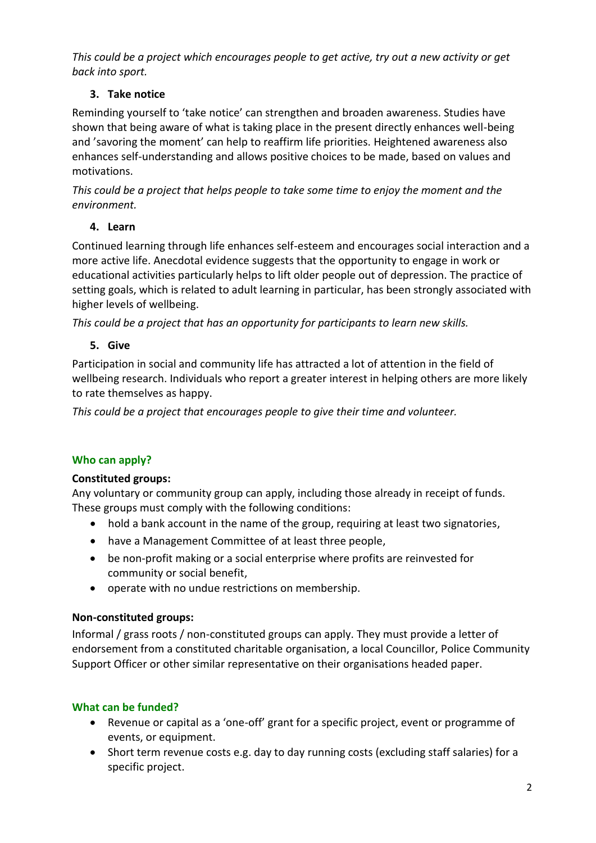*This could be a project which encourages people to get active, try out a new activity or get back into sport.*

### **3. Take notice**

Reminding yourself to 'take notice' can strengthen and broaden awareness. Studies have shown that being aware of what is taking place in the present directly enhances well-being and 'savoring the moment' can help to reaffirm life priorities. Heightened awareness also enhances self-understanding and allows positive choices to be made, based on values and motivations.

*This could be a project that helps people to take some time to enjoy the moment and the environment.* 

### **4. Learn**

Continued learning through life enhances self-esteem and encourages social interaction and a more active life. Anecdotal evidence suggests that the opportunity to engage in work or educational activities particularly helps to lift older people out of depression. The practice of setting goals, which is related to adult learning in particular, has been strongly associated with higher levels of wellbeing.

*This could be a project that has an opportunity for participants to learn new skills.* 

# **5. Give**

Participation in social and community life has attracted a lot of attention in the field of wellbeing research. Individuals who report a greater interest in helping others are more likely to rate themselves as happy.

*This could be a project that encourages people to give their time and volunteer.*

# **Who can apply?**

# **Constituted groups:**

Any voluntary or community group can apply, including those already in receipt of funds. These groups must comply with the following conditions:

- hold a bank account in the name of the group, requiring at least two signatories,
- have a Management Committee of at least three people,
- be non-profit making or a social enterprise where profits are reinvested for community or social benefit,
- operate with no undue restrictions on membership.

# **Non-constituted groups:**

Informal / grass roots / non-constituted groups can apply. They must provide a letter of endorsement from a constituted charitable organisation, a local Councillor, Police Community Support Officer or other similar representative on their organisations headed paper.

# **What can be funded?**

- Revenue or capital as a 'one-off' grant for a specific project, event or programme of events, or equipment.
- Short term revenue costs e.g. day to day running costs (excluding staff salaries) for a specific project.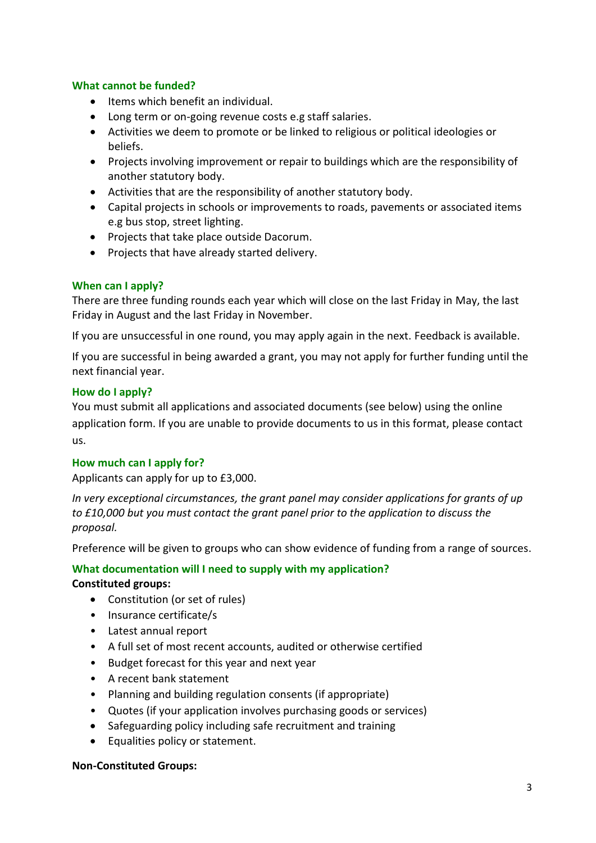#### **What cannot be funded?**

- Items which benefit an individual.
- Long term or on-going revenue costs e.g staff salaries.
- Activities we deem to promote or be linked to religious or political ideologies or beliefs.
- Projects involving improvement or repair to buildings which are the responsibility of another statutory body.
- Activities that are the responsibility of another statutory body.
- Capital projects in schools or improvements to roads, pavements or associated items e.g bus stop, street lighting.
- Projects that take place outside Dacorum.
- Projects that have already started delivery.

#### **When can I apply?**

There are three funding rounds each year which will close on the last Friday in May, the last Friday in August and the last Friday in November.

If you are unsuccessful in one round, you may apply again in the next. Feedback is available.

If you are successful in being awarded a grant, you may not apply for further funding until the next financial year.

#### **How do I apply?**

You must submit all applications and associated documents (see below) using the online application form. If you are unable to provide documents to us in this format, please contact us.

#### **How much can I apply for?**

Applicants can apply for up to £3,000.

*In very exceptional circumstances, the grant panel may consider applications for grants of up to £10,000 but you must contact the grant panel prior to the application to discuss the proposal.*

Preference will be given to groups who can show evidence of funding from a range of sources.

### **What documentation will I need to supply with my application? Constituted groups:**

- Constitution (or set of rules)
- Insurance certificate/s
- Latest annual report
- A full set of most recent accounts, audited or otherwise certified
- Budget forecast for this year and next year
- A recent bank statement
- Planning and building regulation consents (if appropriate)
- Quotes (if your application involves purchasing goods or services)
- Safeguarding policy including safe recruitment and training
- Equalities policy or statement.

#### **Non-Constituted Groups:**